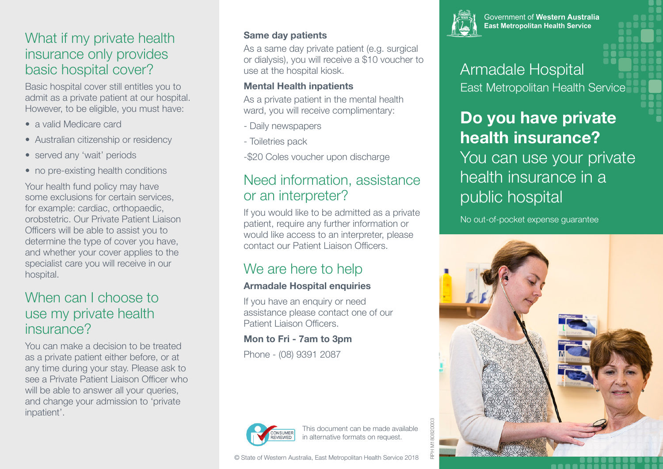### What if my private health insurance only provides basic hospital cover?

Basic hospital cover still entitles you to admit as a private patient at our hospital. However, to be eligible, you must have:

- a valid Medicare card
- Australian citizenship or residency
- served any 'wait' periods
- no pre-existing health conditions

Your health fund policy may have some exclusions for certain services, for example: cardiac, orthopaedic, orobstetric. Our Private Patient Liaison Officers will be able to assist you to determine the type of cover you have, and whether your cover applies to the specialist care you will receive in our hospital.

## When can I choose to use my private health insurance?

You can make a decision to be treated as a private patient either before, or at any time during your stay. Please ask to see a Private Patient Liaison Officer who will be able to answer all your queries, and change your admission to 'private inpatient'.

### **Same day patients**

As a same day private patient (e.g. surgical or dialysis), you will receive a \$10 voucher to use at the hospital kiosk.

### **Mental Health inpatients**

As a private patient in the mental health ward, you will receive complimentary:

- Daily newspapers
- Toiletries pack

-\$20 Coles voucher upon discharge

## Need information, assistance or an interpreter?

If you would like to be admitted as a private patient, require any further information or would like access to an interpreter, please contact our Patient Liaison Officers.

## We are here to help

### **Armadale Hospital enquiries**

If you have an enquiry or need assistance please contact one of our Patient Liaison Officers.

### **Mon to Fri - 7am to 3pm**

Phone - (08) 9391 2087







Government of Western Australia **East Metropolitan Health Service** 

## Armadale Hospital East Metropolitan Health Service

# **Do you have private health insurance?** You can use your private health insurance in a public hospital

No out-of-pocket expense guarantee